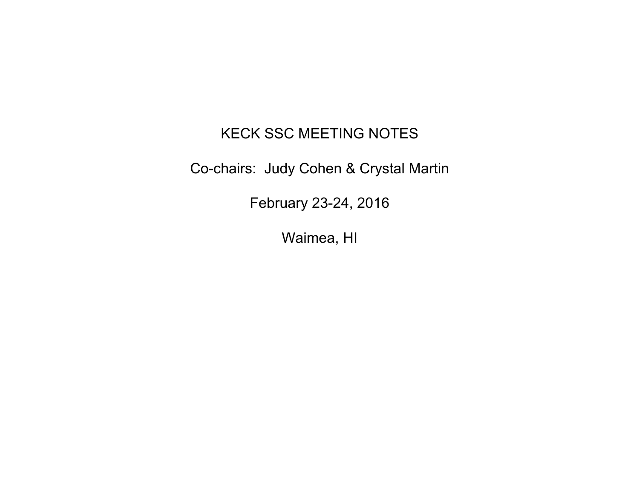#### KECK SSC MEETING NOTES

Co-chairs: Judy Cohen & Crystal Martin

February 23-24, 2016

Waimea, HI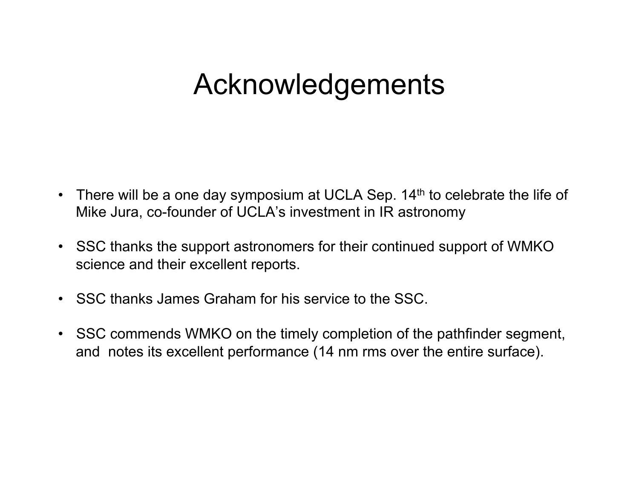### Acknowledgements

- There will be a one day symposium at UCLA Sep.  $14<sup>th</sup>$  to celebrate the life of Mike Jura, co-founder of UCLA's investment in IR astronomy
- SSC thanks the support astronomers for their continued support of WMKO science and their excellent reports.
- SSC thanks James Graham for his service to the SSC.
- SSC commends WMKO on the timely completion of the pathfinder segment, and notes its excellent performance (14 nm rms over the entire surface).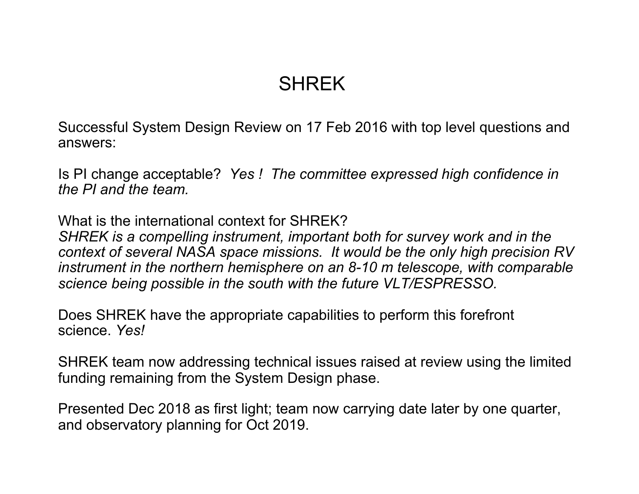#### **SHREK**

Successful System Design Review on 17 Feb 2016 with top level questions and answers:

Is PI change acceptable? *Yes ! The committee expressed high confidence in the PI and the team.* 

What is the international context for SHRFK? *SHREK is a compelling instrument, important both for survey work and in the context of several NASA space missions. It would be the only high precision RV instrument in the northern hemisphere on an 8-10 m telescope, with comparable science being possible in the south with the future VLT/ESPRESSO.* 

Does SHREK have the appropriate capabilities to perform this forefront science. *Yes!* 

SHREK team now addressing technical issues raised at review using the limited funding remaining from the System Design phase.

Presented Dec 2018 as first light; team now carrying date later by one quarter, and observatory planning for Oct 2019.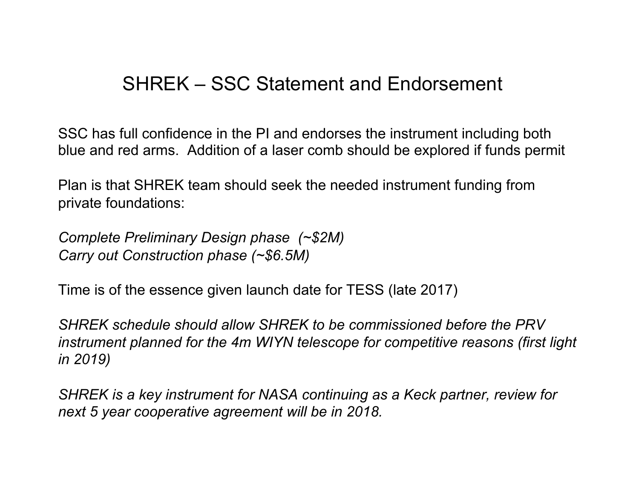#### SHREK – SSC Statement and Endorsement

SSC has full confidence in the PI and endorses the instrument including both blue and red arms. Addition of a laser comb should be explored if funds permit

Plan is that SHREK team should seek the needed instrument funding from private foundations:

*Complete Preliminary Design phase (~\$2M) Carry out Construction phase (~\$6.5M)* 

Time is of the essence given launch date for TESS (late 2017)

*SHREK schedule should allow SHREK to be commissioned before the PRV instrument planned for the 4m WIYN telescope for competitive reasons (first light in 2019)* 

*SHREK is a key instrument for NASA continuing as a Keck partner, review for next 5 year cooperative agreement will be in 2018.*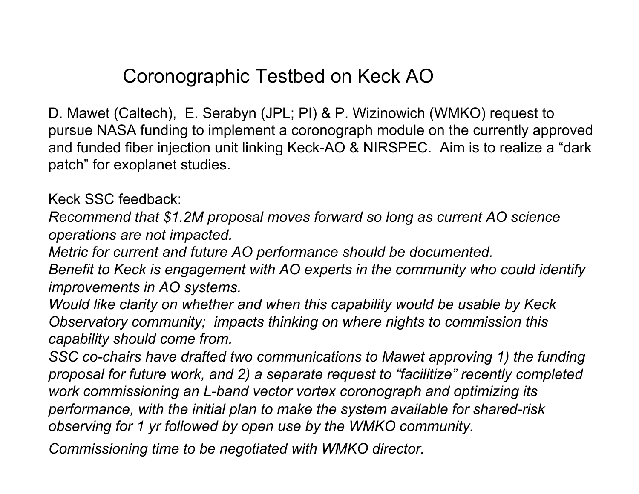#### Coronographic Testbed on Keck AO

D. Mawet (Caltech), E. Serabyn (JPL; PI) & P. Wizinowich (WMKO) request to pursue NASA funding to implement a coronograph module on the currently approved and funded fiber injection unit linking Keck-AO & NIRSPEC. Aim is to realize a "dark patch" for exoplanet studies.

Keck SSC feedback:

*Recommend that \$1.2M proposal moves forward so long as current AO science operations are not impacted.* 

*Metric for current and future AO performance should be documented.* 

*Benefit to Keck is engagement with AO experts in the community who could identify improvements in AO systems.* 

*Would like clarity on whether and when this capability would be usable by Keck Observatory community; impacts thinking on where nights to commission this capability should come from.* 

*SSC co-chairs have drafted two communications to Mawet approving 1) the funding proposal for future work, and 2) a separate request to "facilitize" recently completed work commissioning an L-band vector vortex coronograph and optimizing its performance, with the initial plan to make the system available for shared-risk observing for 1 yr followed by open use by the WMKO community.* 

*Commissioning time to be negotiated with WMKO director.*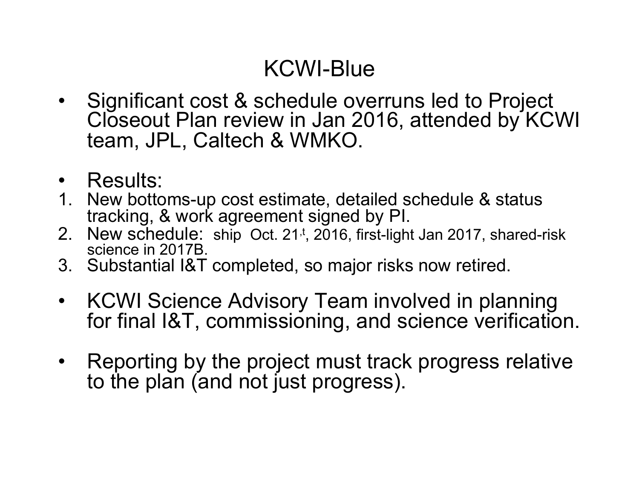#### KCWI-Blue

- Significant cost & schedule overruns led to Project Closeout Plan review in Jan 2016, attended by KCWI team, JPL, Caltech & WMKO.
- Results:
- 1. New bottoms-up cost estimate, detailed schedule & status tracking, & work agreement signed by PI.
- 2. New schedule: ship Oct. 21<sup>,t</sup>, 2016, first-light Jan 2017, shared-risk science in 2017B.
- 3. Substantial I&T completed, so major risks now retired.
- KCWI Science Advisory Team involved in planning for final I&T, commissioning, and science verification.
- Reporting by the project must track progress relative to the plan (and not just progress).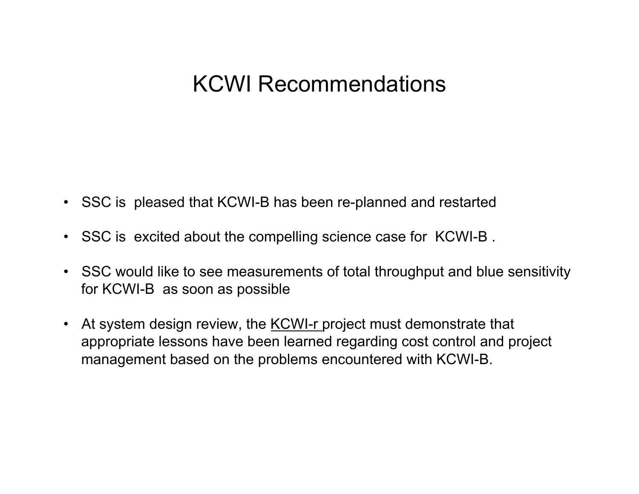#### KCWI Recommendations

- SSC is pleased that KCWI-B has been re-planned and restarted
- SSC is excited about the compelling science case for KCWI-B .
- SSC would like to see measurements of total throughput and blue sensitivity for KCWI-B as soon as possible
- At system design review, the KCWI-r project must demonstrate that appropriate lessons have been learned regarding cost control and project management based on the problems encountered with KCWI-B.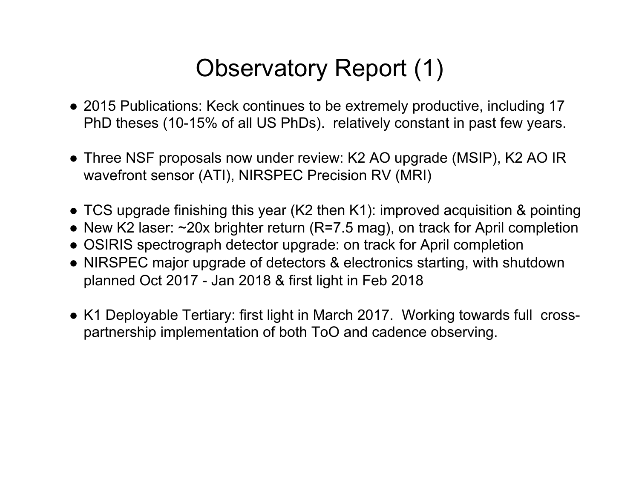### Observatory Report (1)

- 2015 Publications: Keck continues to be extremely productive, including 17 PhD theses (10-15% of all US PhDs). relatively constant in past few years.
- Three NSF proposals now under review: K2 AO upgrade (MSIP), K2 AO IR wavefront sensor (ATI), NIRSPEC Precision RV (MRI)
- TCS upgrade finishing this year (K2 then K1): improved acquisition & pointing
- New K2 laser:  $\sim$ 20x brighter return (R=7.5 mag), on track for April completion
- OSIRIS spectrograph detector upgrade: on track for April completion
- NIRSPEC major upgrade of detectors & electronics starting, with shutdown planned Oct 2017 - Jan 2018 & first light in Feb 2018
- K1 Deployable Tertiary: first light in March 2017. Working towards full crosspartnership implementation of both ToO and cadence observing.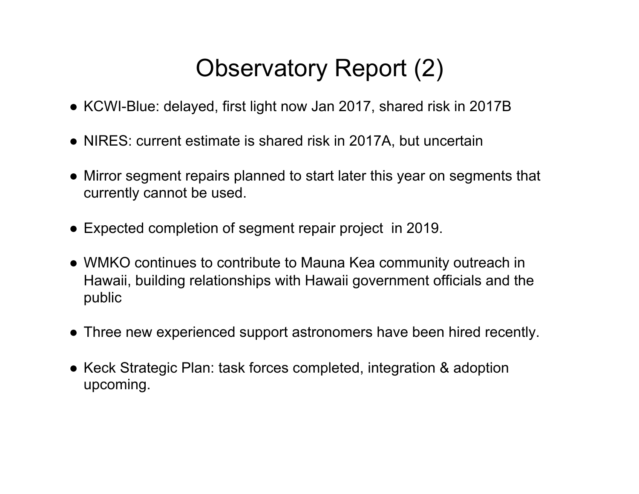### Observatory Report (2)

- KCWI-Blue: delayed, first light now Jan 2017, shared risk in 2017B
- NIRES: current estimate is shared risk in 2017A, but uncertain
- Mirror segment repairs planned to start later this year on segments that currently cannot be used.
- Expected completion of segment repair project in 2019.
- WMKO continues to contribute to Mauna Kea community outreach in Hawaii, building relationships with Hawaii government officials and the public
- Three new experienced support astronomers have been hired recently.
- Keck Strategic Plan: task forces completed, integration & adoption upcoming.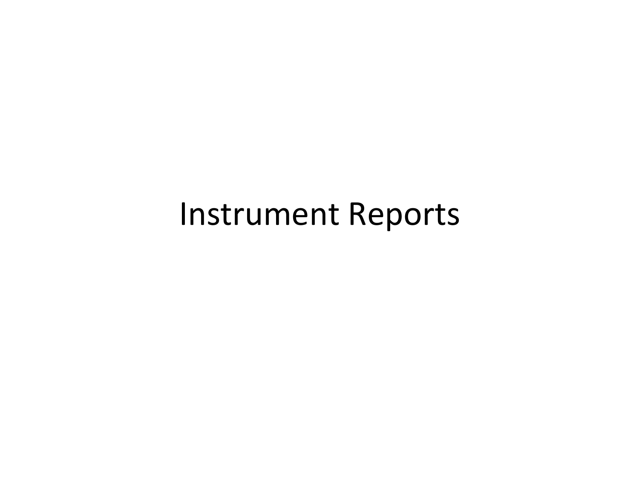### Instrument Reports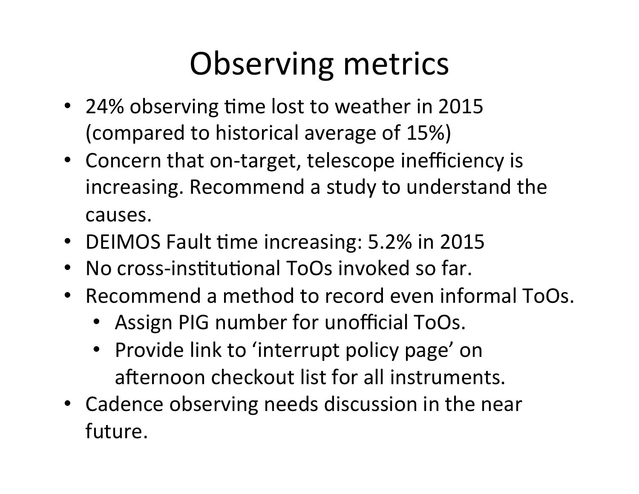# Observing metrics

- 24% observing time lost to weather in 2015 (compared to historical average of 15%)
- Concern that on-target, telescope inefficiency is increasing. Recommend a study to understand the causes.
- DEIMOS Fault time increasing: 5.2% in 2015
- No cross-institutional ToOs invoked so far.
- Recommend a method to record even informal ToOs.
	- Assign PIG number for unofficial ToOs.
	- Provide link to 'interrupt policy page' on afternoon checkout list for all instruments.
- Cadence observing needs discussion in the near future.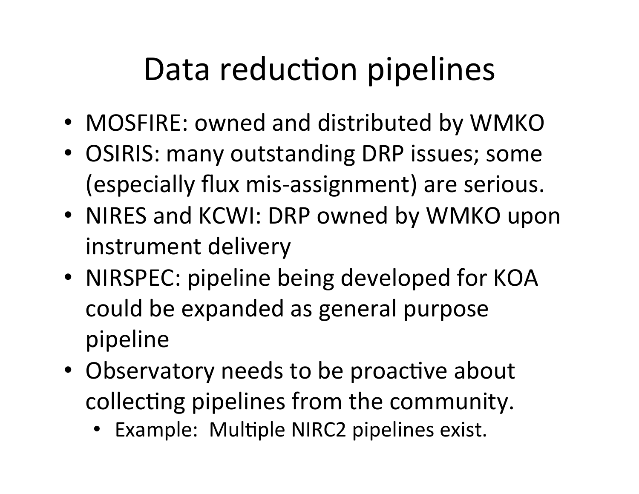## Data reduction pipelines

- MOSFIRE: owned and distributed by WMKO
- OSIRIS: many outstanding DRP issues; some (especially flux mis-assignment) are serious.
- NIRES and KCWI: DRP owned by WMKO upon instrument delivery
- NIRSPEC: pipeline being developed for KOA could be expanded as general purpose pipeline)
- Observatory needs to be proactive about collecting pipelines from the community.
	- Example: Multiple NIRC2 pipelines exist.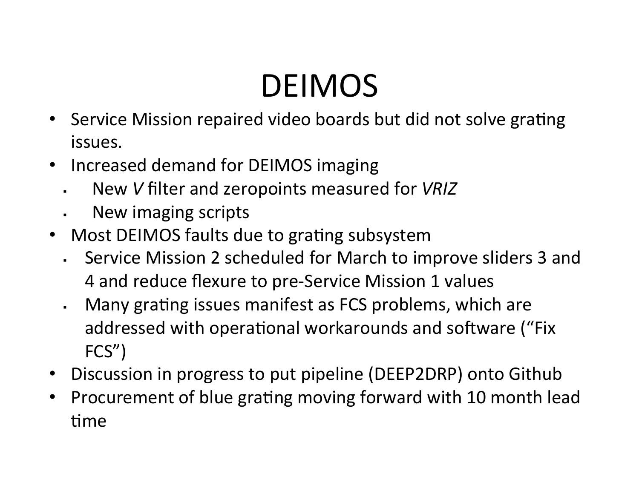# DEIMOS

- Service Mission repaired video boards but did not solve grating issues.
- Increased demand for DEIMOS imaging
	- ! New)*V*)filter)and)zeropoints)measured)for)*VRIZ*
	- . New imaging scripts
- Most DEIMOS faults due to grating subsystem
	- . Service Mission 2 scheduled for March to improve sliders 3 and 4 and reduce flexure to pre-Service Mission 1 values
	- . Many grating issues manifest as FCS problems, which are addressed with operational workarounds and software ("Fix) FCS")
- Discussion in progress to put pipeline (DEEP2DRP) onto Github
- Procurement of blue grating moving forward with 10 month lead time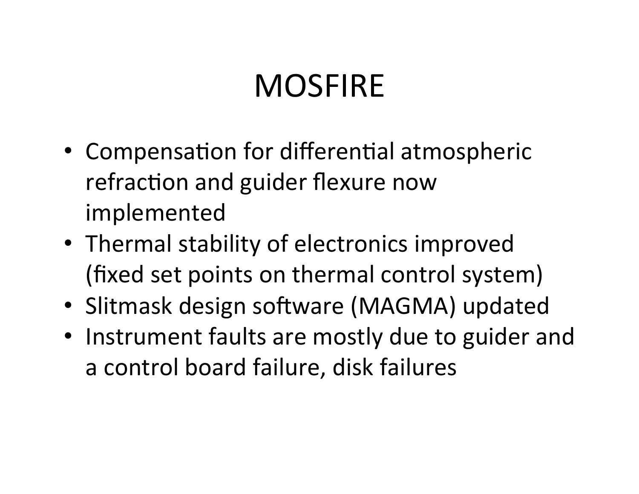## **MOSFIRE**

- Compensation for differential atmospheric refraction and guider flexure now implemented)
- Thermal stability of electronics improved (fixed set points on thermal control system)
- Slitmask design software (MAGMA) updated
- Instrument faults are mostly due to guider and a control board failure, disk failures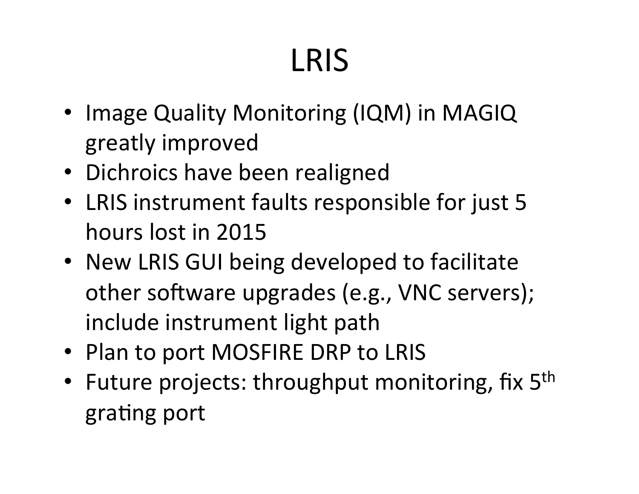# LRIS

- Image Quality Monitoring (IQM) in MAGIQ greatly)improved
- Dichroics have been realigned
- LRIS instrument faults responsible for just 5 hours lost in 2015
- New LRIS GUI being developed to facilitate other software upgrades (e.g., VNC servers); include instrument light path
- Plan to port MOSFIRE DRP to LRIS
- Future projects: throughput monitoring, fix  $5<sup>th</sup>$ grating port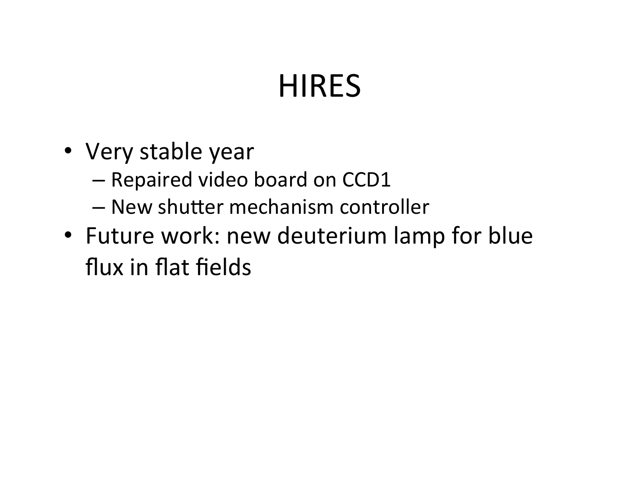# **HIRES**

- Very stable year
	- Repaired video board on CCD1
	- $-$  New shutter mechanism controller
- Future work: new deuterium lamp for blue flux in flat fields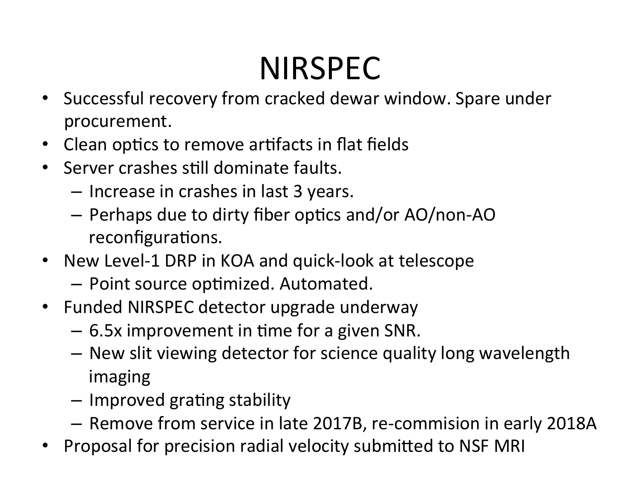# NIRSPEC

- Successful recovery from cracked dewar window. Spare under procurement.
- Clean optics to remove artifacts in flat fields
- Server crashes still dominate faults.
	- $-$  Increase in crashes in last 3 years.
	- $-$  Perhaps due to dirty fiber optics and/or AO/non-AO reconfigurations.
- New Level-1 DRP in KOA and quick-look at telescope
	- $-$  Point source optimized. Automated.
- Funded NIRSPEC detector upgrade underway
	- $-6.5x$  improvement in time for a given SNR.
	- $-$  New slit viewing detector for science quality long wavelength imaging
	- $-$  Improved grating stability
	- Remove from service in late 2017B, re-commision in early 2018A
- Proposal for precision radial velocity submitted to NSF MRI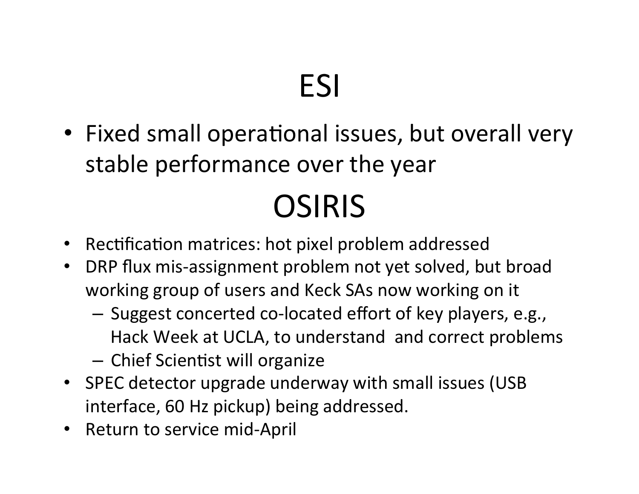# ESI

• Fixed small operational issues, but overall very stable performance over the year

# OSIRIS

- Rectification matrices: hot pixel problem addressed
- DRP flux mis-assignment problem not yet solved, but broad working group of users and Keck SAs now working on it
	- Suggest concerted co-located effort of key players, e.g., Hack Week at UCLA, to understand and correct problems
	- Chief Scientist will organize
- SPEC detector upgrade underway with small issues (USB) interface, 60 Hz pickup) being addressed.
- Return to service mid-April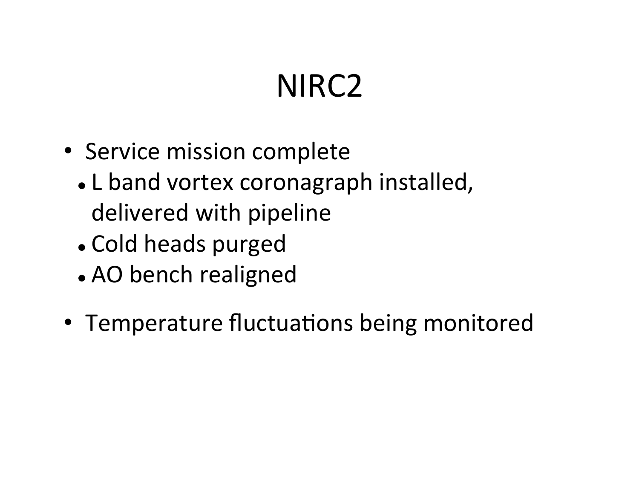# NIRC2

- Service mission complete
	- . L band vortex coronagraph installed, delivered with pipeline
	- . Cold heads purged
	- . AO bench realigned
- Temperature fluctuations being monitored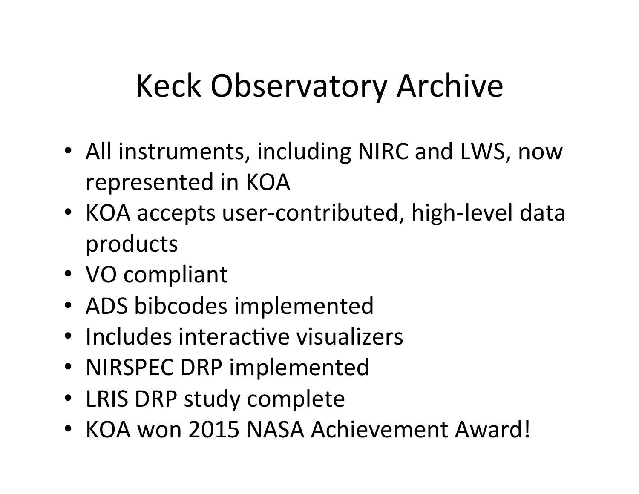# Keck)Observatory)Archive

- All instruments, including NIRC and LWS, now represented in KOA
- KOA accepts user-contributed, high-level data products
- VO compliant
- ADS bibcodes implemented
- Includes interactive visualizers
- NIRSPEC DRP implemented
- LRIS DRP study complete
- KOA won 2015 NASA Achievement Award!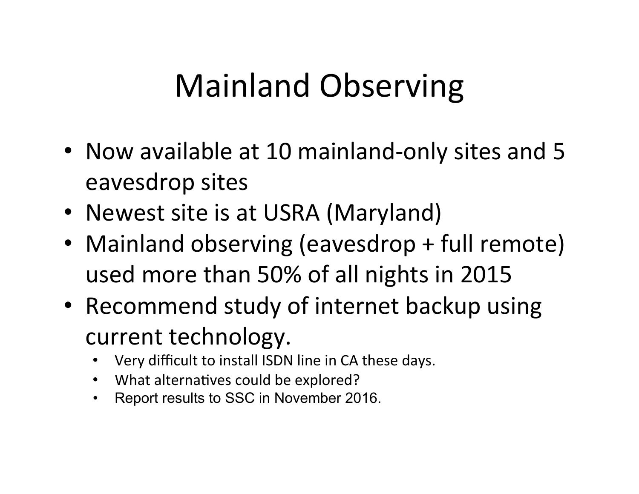# Mainland Observing

- Now available at 10 mainland-only sites and 5 eavesdrop sites
- Newest site is at USRA (Maryland)
- Mainland observing (eavesdrop + full remote) used more than 50% of all nights in 2015
- Recommend study of internet backup using current technology.
	- Very difficult to install ISDN line in CA these days.
	- What alternatives could be explored?
	- Report results to SSC in November 2016.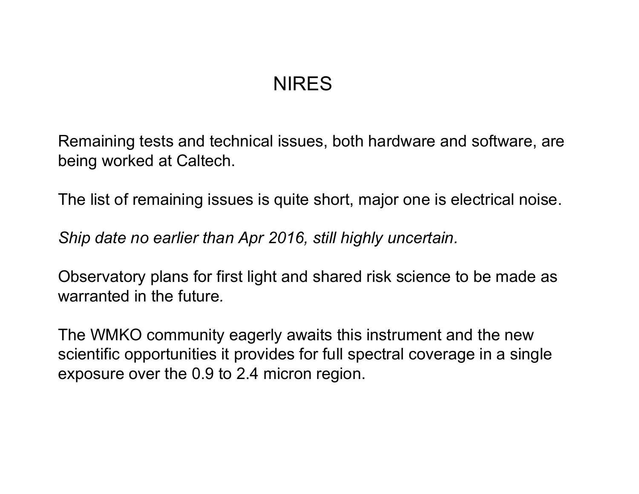#### **NIRES**

Remaining tests and technical issues, both hardware and software, are being worked at Caltech.

The list of remaining issues is quite short, major one is electrical noise.

*Ship date no earlier than Apr 2016, still highly uncertain.* 

Observatory plans for first light and shared risk science to be made as warranted in the future*.* 

The WMKO community eagerly awaits this instrument and the new scientific opportunities it provides for full spectral coverage in a single exposure over the 0.9 to 2.4 micron region.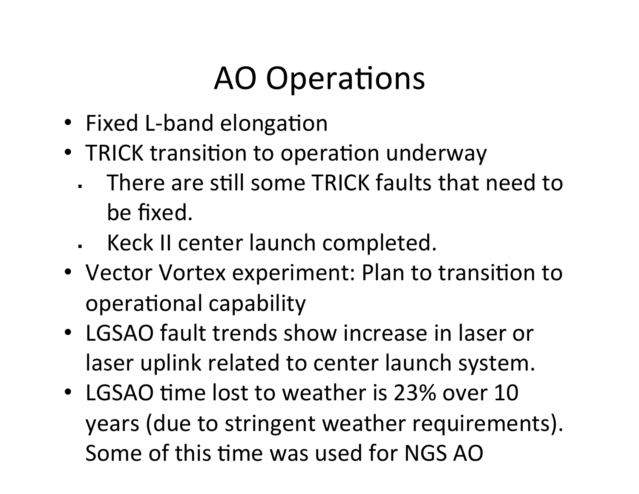# **AO** Operations

- Fixed L-band elongation
- TRICK transition to operation underway
	- . There are still some TRICK faults that need to be fixed.
	- . Keck II center launch completed.
- Vector Vortex experiment: Plan to transition to operational capability
- LGSAO fault trends show increase in laser or laser uplink related to center launch system.
- LGSAO time lost to weather is 23% over 10 years (due to stringent weather requirements). Some of this time was used for NGS AO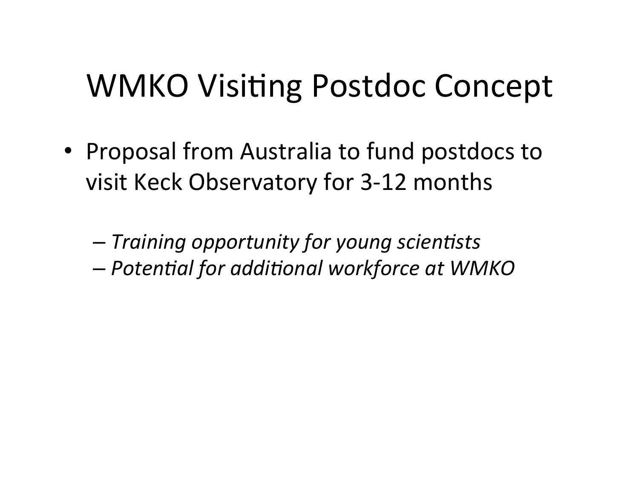### WMKO Visiting Postdoc Concept

• Proposal from Australia to fund postdocs to visit Keck Observatory for 3-12 months

– *Training+opportunity+for+young+scien5sts+*  $-$  *Potential for additional workforce at WMKO*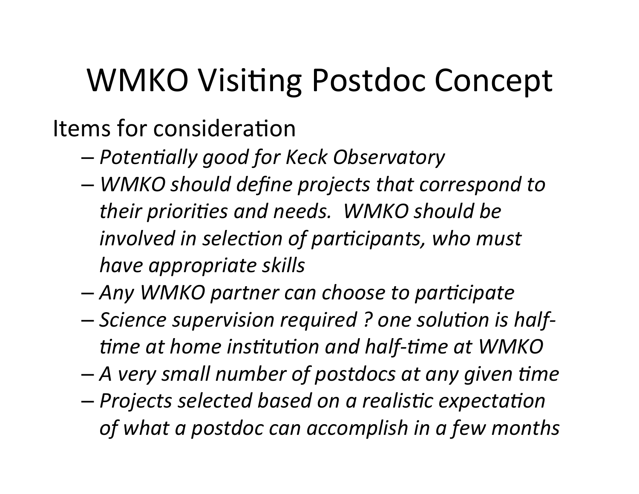## WMKO Visiting Postdoc Concept

Items for consideration

- $-$  *Potentially good for Keck Observatory*
- *WMKO+should+define+projects+that+correspond+to+* their priorities and needs. WMKO should be *involved in selection of participants, who must have+appropriate+skills*
- *Any+WMKO+partner+can+choose+to+par5cipate*
- $-$  *Science supervision required ? one solution is half*fime at home institution and half-time at WMKO
- $-$  A very small number of postdocs at any given time
- *Projects+selected+based+on+a+realis5c+expecta5on+* of what a postdoc can accomplish in a few months